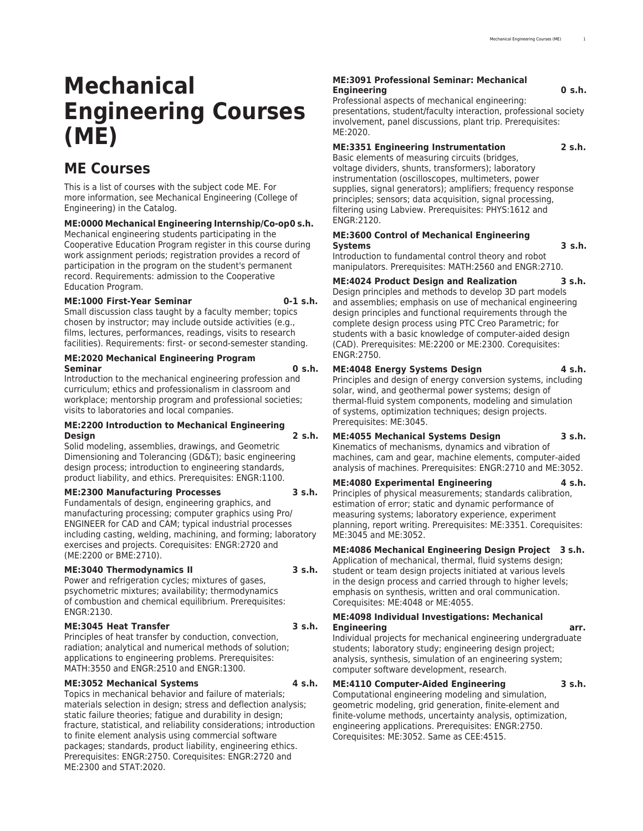# **Mechanical Engineering Courses (ME)**

## **ME Courses**

This is a list of courses with the subject code ME. For more information, see [Mechanical Engineering](http://catalog.registrar.uiowa.edu/engineering/mechanical-engineering/) (College of Engineering) in the Catalog.

### **ME:0000 Mechanical Engineering Internship/Co-op0 s.h.**

Mechanical engineering students participating in the Cooperative Education Program register in this course during work assignment periods; registration provides a record of participation in the program on the student's permanent record. Requirements: admission to the Cooperative Education Program.

### **ME:1000 First-Year Seminar 0-1 s.h.**

Small discussion class taught by a faculty member; topics chosen by instructor; may include outside activities (e.g., films, lectures, performances, readings, visits to research facilities). Requirements: first- or second-semester standing.

### **ME:2020 Mechanical Engineering Program Seminar 0 s.h.**

Introduction to the mechanical engineering profession and curriculum; ethics and professionalism in classroom and workplace; mentorship program and professional societies; visits to laboratories and local companies.

### **ME:2200 Introduction to Mechanical Engineering Design 2 s.h.**

Solid modeling, assemblies, drawings, and Geometric Dimensioning and Tolerancing (GD&T); basic engineering design process; introduction to engineering standards, product liability, and ethics. Prerequisites: ENGR:1100.

### **ME:2300 Manufacturing Processes 3 s.h.**

Fundamentals of design, engineering graphics, and manufacturing processing; computer graphics using Pro/ ENGINEER for CAD and CAM; typical industrial processes including casting, welding, machining, and forming; laboratory exercises and projects. Corequisites: ENGR:2720 and (ME:2200 or BME:2710).

### **ME:3040 Thermodynamics II 3 s.h.**

Power and refrigeration cycles; mixtures of gases, psychometric mixtures; availability; thermodynamics of combustion and chemical equilibrium. Prerequisites: ENGR:2130.

### **ME:3045 Heat Transfer 3 s.h.**

Principles of heat transfer by conduction, convection, radiation; analytical and numerical methods of solution; applications to engineering problems. Prerequisites: MATH:3550 and ENGR:2510 and ENGR:1300.

### **ME:3052 Mechanical Systems 4 s.h.**

Topics in mechanical behavior and failure of materials; materials selection in design; stress and deflection analysis; static failure theories; fatigue and durability in design; fracture, statistical, and reliability considerations; introduction to finite element analysis using commercial software packages; standards, product liability, engineering ethics. Prerequisites: ENGR:2750. Corequisites: ENGR:2720 and ME:2300 and STAT:2020.

### **ME:3091 Professional Seminar: Mechanical Engineering 0 s.h.**

Professional aspects of mechanical engineering: presentations, student/faculty interaction, professional society involvement, panel discussions, plant trip. Prerequisites:  $MF:2020$ 

### **ME:3351 Engineering Instrumentation 2 s.h.**

Basic elements of measuring circuits (bridges, voltage dividers, shunts, transformers); laboratory instrumentation (oscilloscopes, multimeters, power supplies, signal generators); amplifiers; frequency response principles; sensors; data acquisition, signal processing, filtering using Labview. Prerequisites: PHYS:1612 and ENGR:2120.

### **ME:3600 Control of Mechanical Engineering Systems 3 s.h.**

Introduction to fundamental control theory and robot manipulators. Prerequisites: MATH:2560 and ENGR:2710.

**ME:4024 Product Design and Realization 3 s.h.**

Design principles and methods to develop 3D part models and assemblies; emphasis on use of mechanical engineering design principles and functional requirements through the complete design process using PTC Creo Parametric; for students with a basic knowledge of computer-aided design (CAD). Prerequisites: ME:2200 or ME:2300. Corequisites: ENGR:2750.

### **ME:4048 Energy Systems Design 4 s.h.**

Principles and design of energy conversion systems, including solar, wind, and geothermal power systems; design of thermal-fluid system components, modeling and simulation of systems, optimization techniques; design projects. Prerequisites: ME:3045.

### **ME:4055 Mechanical Systems Design 3 s.h.**

Kinematics of mechanisms, dynamics and vibration of machines, cam and gear, machine elements, computer-aided analysis of machines. Prerequisites: ENGR:2710 and ME:3052.

### **ME:4080 Experimental Engineering 4 s.h.**

Principles of physical measurements; standards calibration, estimation of error; static and dynamic performance of measuring systems; laboratory experience, experiment planning, report writing. Prerequisites: ME:3351. Corequisites: ME:3045 and ME:3052.

**ME:4086 Mechanical Engineering Design Project 3 s.h.**

Application of mechanical, thermal, fluid systems design; student or team design projects initiated at various levels in the design process and carried through to higher levels; emphasis on synthesis, written and oral communication. Corequisites: ME:4048 or ME:4055.

### **ME:4098 Individual Investigations: Mechanical Engineering arr.**

Individual projects for mechanical engineering undergraduate students; laboratory study; engineering design project; analysis, synthesis, simulation of an engineering system; computer software development, research.

### **ME:4110 Computer-Aided Engineering 3 s.h.**

Computational engineering modeling and simulation, geometric modeling, grid generation, finite-element and finite-volume methods, uncertainty analysis, optimization, engineering applications. Prerequisites: ENGR:2750. Corequisites: ME:3052. Same as CEE:4515.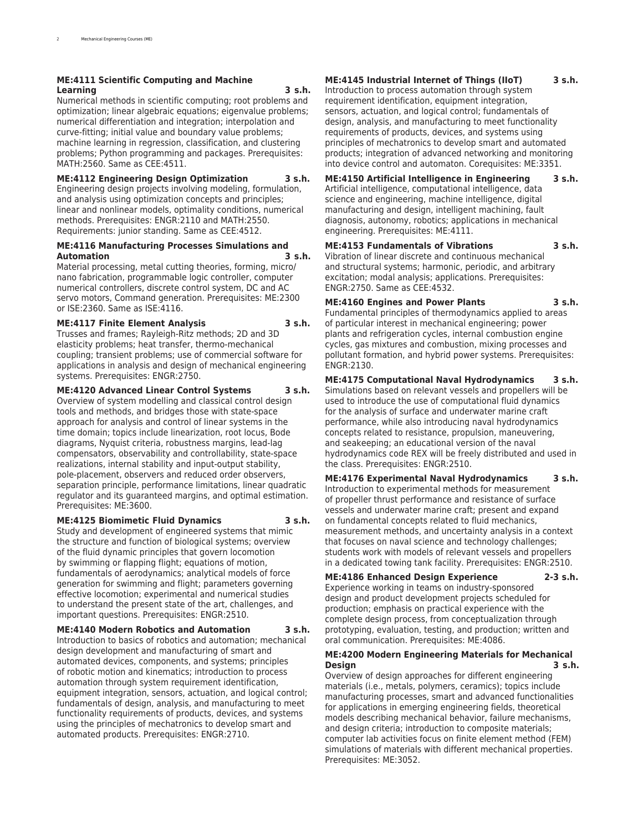### **ME:4111 Scientific Computing and Machine Learning 3 s.h.**

Numerical methods in scientific computing; root problems and optimization; linear algebraic equations; eigenvalue problems; numerical differentiation and integration; interpolation and curve-fitting; initial value and boundary value problems; machine learning in regression, classification, and clustering problems; Python programming and packages. Prerequisites: MATH:2560. Same as CEE:4511.

**ME:4112 Engineering Design Optimization 3 s.h.** Engineering design projects involving modeling, formulation, and analysis using optimization concepts and principles; linear and nonlinear models, optimality conditions, numerical methods. Prerequisites: ENGR:2110 and MATH:2550. Requirements: junior standing. Same as CEE:4512.

### **ME:4116 Manufacturing Processes Simulations and Automation 3 s.h.**

Material processing, metal cutting theories, forming, micro/ nano fabrication, programmable logic controller, computer numerical controllers, discrete control system, DC and AC servo motors, Command generation. Prerequisites: ME:2300 or ISE:2360. Same as ISE:4116.

### **ME:4117 Finite Element Analysis 3 s.h.**

Trusses and frames; Rayleigh-Ritz methods; 2D and 3D elasticity problems; heat transfer, thermo-mechanical coupling; transient problems; use of commercial software for applications in analysis and design of mechanical engineering systems. Prerequisites: ENGR:2750.

**ME:4120 Advanced Linear Control Systems 3 s.h.** Overview of system modelling and classical control design

tools and methods, and bridges those with state-space approach for analysis and control of linear systems in the time domain; topics include linearization, root locus, Bode diagrams, Nyquist criteria, robustness margins, lead-lag compensators, observability and controllability, state-space realizations, internal stability and input-output stability, pole-placement, observers and reduced order observers, separation principle, performance limitations, linear quadratic regulator and its guaranteed margins, and optimal estimation. Prerequisites: ME:3600.

**ME:4125 Biomimetic Fluid Dynamics 3 s.h.**

Study and development of engineered systems that mimic the structure and function of biological systems; overview of the fluid dynamic principles that govern locomotion by swimming or flapping flight; equations of motion, fundamentals of aerodynamics; analytical models of force generation for swimming and flight; parameters governing effective locomotion; experimental and numerical studies to understand the present state of the art, challenges, and important questions. Prerequisites: ENGR:2510.

**ME:4140 Modern Robotics and Automation 3 s.h.** Introduction to basics of robotics and automation; mechanical design development and manufacturing of smart and automated devices, components, and systems; principles of robotic motion and kinematics; introduction to process automation through system requirement identification, equipment integration, sensors, actuation, and logical control; fundamentals of design, analysis, and manufacturing to meet functionality requirements of products, devices, and systems using the principles of mechatronics to develop smart and automated products. Prerequisites: ENGR:2710.

### **ME:4145 Industrial Internet of Things (IIoT) 3 s.h.**

Introduction to process automation through system requirement identification, equipment integration, sensors, actuation, and logical control; fundamentals of design, analysis, and manufacturing to meet functionality requirements of products, devices, and systems using principles of mechatronics to develop smart and automated products; integration of advanced networking and monitoring into device control and automaton. Corequisites: ME:3351.

**ME:4150 Artificial Intelligence in Engineering 3 s.h.** Artificial intelligence, computational intelligence, data science and engineering, machine intelligence, digital manufacturing and design, intelligent machining, fault diagnosis, autonomy, robotics; applications in mechanical engineering. Prerequisites: ME:4111.

**ME:4153 Fundamentals of Vibrations 3 s.h.** Vibration of linear discrete and continuous mechanical and structural systems; harmonic, periodic, and arbitrary excitation; modal analysis; applications. Prerequisites: ENGR:2750. Same as CEE:4532.

**ME:4160 Engines and Power Plants 3 s.h.** Fundamental principles of thermodynamics applied to areas of particular interest in mechanical engineering; power plants and refrigeration cycles, internal combustion engine cycles, gas mixtures and combustion, mixing processes and pollutant formation, and hybrid power systems. Prerequisites: ENGR:2130.

**ME:4175 Computational Naval Hydrodynamics 3 s.h.** Simulations based on relevant vessels and propellers will be used to introduce the use of computational fluid dynamics for the analysis of surface and underwater marine craft performance, while also introducing naval hydrodynamics concepts related to resistance, propulsion, maneuvering, and seakeeping; an educational version of the naval hydrodynamics code REX will be freely distributed and used in the class. Prerequisites: ENGR:2510.

**ME:4176 Experimental Naval Hydrodynamics 3 s.h.** Introduction to experimental methods for measurement of propeller thrust performance and resistance of surface vessels and underwater marine craft; present and expand on fundamental concepts related to fluid mechanics, measurement methods, and uncertainty analysis in a context that focuses on naval science and technology challenges; students work with models of relevant vessels and propellers in a dedicated towing tank facility. Prerequisites: ENGR:2510.

**ME:4186 Enhanced Design Experience 2-3 s.h.** Experience working in teams on industry-sponsored design and product development projects scheduled for production; emphasis on practical experience with the complete design process, from conceptualization through prototyping, evaluation, testing, and production; written and oral communication. Prerequisites: ME:4086.

### **ME:4200 Modern Engineering Materials for Mechanical Design 3 s.h.**

Overview of design approaches for different engineering materials (i.e., metals, polymers, ceramics); topics include manufacturing processes, smart and advanced functionalities for applications in emerging engineering fields, theoretical models describing mechanical behavior, failure mechanisms, and design criteria; introduction to composite materials; computer lab activities focus on finite element method (FEM) simulations of materials with different mechanical properties. Prerequisites: ME:3052.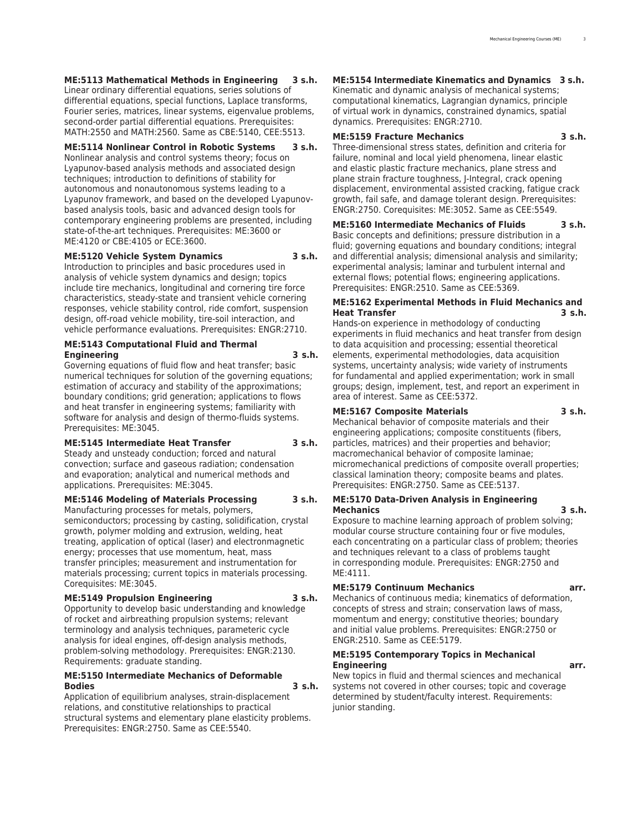**ME:5113 Mathematical Methods in Engineering 3 s.h.** Linear ordinary differential equations, series solutions of differential equations, special functions, Laplace transforms, Fourier series, matrices, linear systems, eigenvalue problems, second-order partial differential equations. Prerequisites: MATH:2550 and MATH:2560. Same as CBE:5140, CEE:5513.

### **ME:5114 Nonlinear Control in Robotic Systems 3 s.h.**

Nonlinear analysis and control systems theory; focus on Lyapunov-based analysis methods and associated design techniques; introduction to definitions of stability for autonomous and nonautonomous systems leading to a Lyapunov framework, and based on the developed Lyapunovbased analysis tools, basic and advanced design tools for contemporary engineering problems are presented, including state-of-the-art techniques. Prerequisites: ME:3600 or ME:4120 or CBE:4105 or ECE:3600.

#### **ME:5120 Vehicle System Dynamics 3 s.h.**

Introduction to principles and basic procedures used in analysis of vehicle system dynamics and design; topics include tire mechanics, longitudinal and cornering tire force characteristics, steady-state and transient vehicle cornering responses, vehicle stability control, ride comfort, suspension design, off-road vehicle mobility, tire-soil interaction, and vehicle performance evaluations. Prerequisites: ENGR:2710.

#### **ME:5143 Computational Fluid and Thermal Engineering 3 s.h.**

Governing equations of fluid flow and heat transfer; basic numerical techniques for solution of the governing equations; estimation of accuracy and stability of the approximations; boundary conditions; grid generation; applications to flows and heat transfer in engineering systems; familiarity with software for analysis and design of thermo-fluids systems. Prerequisites: ME:3045.

### **ME:5145 Intermediate Heat Transfer 3 s.h.**

Steady and unsteady conduction; forced and natural convection; surface and gaseous radiation; condensation and evaporation; analytical and numerical methods and applications. Prerequisites: ME:3045.

#### **ME:5146 Modeling of Materials Processing 3 s.h.**

Manufacturing processes for metals, polymers, semiconductors; processing by casting, solidification, crystal growth, polymer molding and extrusion, welding, heat treating, application of optical (laser) and electronmagnetic energy; processes that use momentum, heat, mass transfer principles; measurement and instrumentation for materials processing; current topics in materials processing. Corequisites: ME:3045.

#### **ME:5149 Propulsion Engineering 3 s.h.**

Opportunity to develop basic understanding and knowledge of rocket and airbreathing propulsion systems; relevant terminology and analysis techniques, parameteric cycle analysis for ideal engines, off-design analysis methods, problem-solving methodology. Prerequisites: ENGR:2130. Requirements: graduate standing.

### **ME:5150 Intermediate Mechanics of Deformable Bodies 3 s.h.**

Application of equilibrium analyses, strain-displacement relations, and constitutive relationships to practical structural systems and elementary plane elasticity problems. Prerequisites: ENGR:2750. Same as CEE:5540.

### **ME:5154 Intermediate Kinematics and Dynamics 3 s.h.**

Kinematic and dynamic analysis of mechanical systems; computational kinematics, Lagrangian dynamics, principle of virtual work in dynamics, constrained dynamics, spatial dynamics. Prerequisites: ENGR:2710.

### **ME:5159 Fracture Mechanics 3 s.h.**

Three-dimensional stress states, definition and criteria for failure, nominal and local yield phenomena, linear elastic and elastic plastic fracture mechanics, plane stress and plane strain fracture toughness, J-Integral, crack opening displacement, environmental assisted cracking, fatigue crack growth, fail safe, and damage tolerant design. Prerequisites: ENGR:2750. Corequisites: ME:3052. Same as CEE:5549.

### **ME:5160 Intermediate Mechanics of Fluids 3 s.h.**

Basic concepts and definitions; pressure distribution in a fluid; governing equations and boundary conditions; integral and differential analysis; dimensional analysis and similarity; experimental analysis; laminar and turbulent internal and external flows; potential flows; engineering applications. Prerequisites: ENGR:2510. Same as CEE:5369.

### **ME:5162 Experimental Methods in Fluid Mechanics and Heat Transfer 3 s.h.**

Hands-on experience in methodology of conducting experiments in fluid mechanics and heat transfer from design to data acquisition and processing; essential theoretical elements, experimental methodologies, data acquisition systems, uncertainty analysis; wide variety of instruments for fundamental and applied experimentation; work in small groups; design, implement, test, and report an experiment in area of interest. Same as CEE:5372.

#### **ME:5167 Composite Materials 3 s.h.**

Mechanical behavior of composite materials and their engineering applications; composite constituents (fibers, particles, matrices) and their properties and behavior; macromechanical behavior of composite laminae; micromechanical predictions of composite overall properties; classical lamination theory; composite beams and plates. Prerequisites: ENGR:2750. Same as CEE:5137.

#### **ME:5170 Data-Driven Analysis in Engineering Mechanics 3 s.h.**

Exposure to machine learning approach of problem solving; modular course structure containing four or five modules, each concentrating on a particular class of problem; theories and techniques relevant to a class of problems taught in corresponding module. Prerequisites: ENGR:2750 and ME:4111.

### **ME:5179 Continuum Mechanics arr.**

Mechanics of continuous media; kinematics of deformation, concepts of stress and strain; conservation laws of mass, momentum and energy; constitutive theories; boundary and initial value problems. Prerequisites: ENGR:2750 or ENGR:2510. Same as CEE:5179.

### **ME:5195 Contemporary Topics in Mechanical Engineering arr.**

New topics in fluid and thermal sciences and mechanical systems not covered in other courses; topic and coverage determined by student/faculty interest. Requirements: junior standing.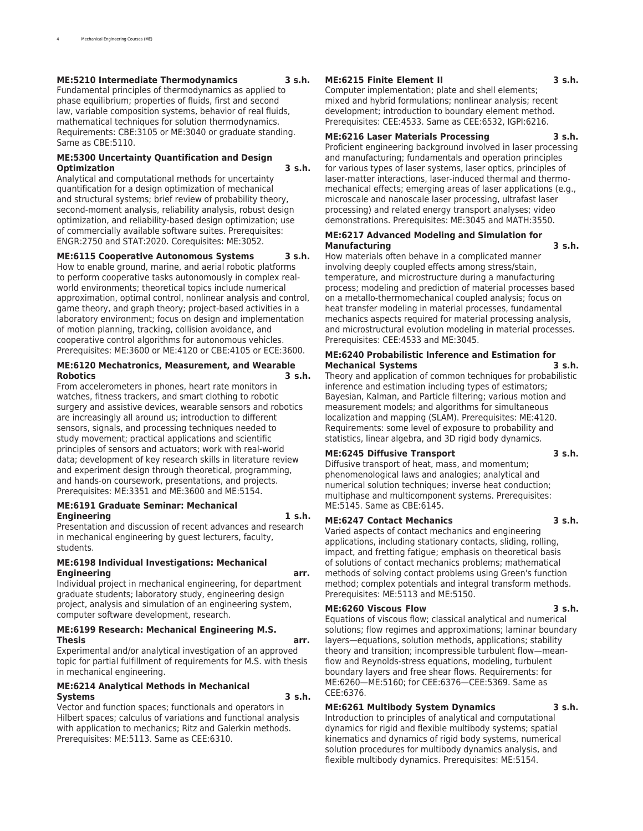### **ME:5210 Intermediate Thermodynamics 3 s.h.**

Fundamental principles of thermodynamics as applied to phase equilibrium; properties of fluids, first and second law, variable composition systems, behavior of real fluids, mathematical techniques for solution thermodynamics. Requirements: CBE:3105 or ME:3040 or graduate standing. Same as CBE:5110.

### **ME:5300 Uncertainty Quantification and Design Optimization 3 s.h.**

Analytical and computational methods for uncertainty quantification for a design optimization of mechanical and structural systems; brief review of probability theory, second-moment analysis, reliability analysis, robust design optimization, and reliability-based design optimization; use of commercially available software suites. Prerequisites: ENGR:2750 and STAT:2020. Corequisites: ME:3052.

### **ME:6115 Cooperative Autonomous Systems 3 s.h.**

How to enable ground, marine, and aerial robotic platforms to perform cooperative tasks autonomously in complex realworld environments; theoretical topics include numerical approximation, optimal control, nonlinear analysis and control, game theory, and graph theory; project-based activities in a laboratory environment; focus on design and implementation of motion planning, tracking, collision avoidance, and cooperative control algorithms for autonomous vehicles. Prerequisites: ME:3600 or ME:4120 or CBE:4105 or ECE:3600.

### **ME:6120 Mechatronics, Measurement, and Wearable Robotics 3 s.h.**

From accelerometers in phones, heart rate monitors in watches, fitness trackers, and smart clothing to robotic surgery and assistive devices, wearable sensors and robotics are increasingly all around us; introduction to different sensors, signals, and processing techniques needed to study movement; practical applications and scientific principles of sensors and actuators; work with real-world data; development of key research skills in literature review and experiment design through theoretical, programming, and hands-on coursework, presentations, and projects. Prerequisites: ME:3351 and ME:3600 and ME:5154.

### **ME:6191 Graduate Seminar: Mechanical Engineering 1 s.h.**

Presentation and discussion of recent advances and research in mechanical engineering by guest lecturers, faculty, students.

#### **ME:6198 Individual Investigations: Mechanical Engineering arr.**

Individual project in mechanical engineering, for department graduate students; laboratory study, engineering design project, analysis and simulation of an engineering system, computer software development, research.

### **ME:6199 Research: Mechanical Engineering M.S. Thesis arr.**

Experimental and/or analytical investigation of an approved topic for partial fulfillment of requirements for M.S. with thesis in mechanical engineering.

### **ME:6214 Analytical Methods in Mechanical Systems 3 s.h.**

Vector and function spaces; functionals and operators in Hilbert spaces; calculus of variations and functional analysis with application to mechanics; Ritz and Galerkin methods. Prerequisites: ME:5113. Same as CEE:6310.

### **ME:6215 Finite Element II 3 s.h.**

Computer implementation; plate and shell elements; mixed and hybrid formulations; nonlinear analysis; recent development; introduction to boundary element method. Prerequisites: CEE:4533. Same as CEE:6532, IGPI:6216.

#### **ME:6216 Laser Materials Processing 3 s.h.**

Proficient engineering background involved in laser processing and manufacturing; fundamentals and operation principles for various types of laser systems, laser optics, principles of laser-matter interactions, laser-induced thermal and thermomechanical effects; emerging areas of laser applications (e.g., microscale and nanoscale laser processing, ultrafast laser processing) and related energy transport analyses; video demonstrations. Prerequisites: ME:3045 and MATH:3550.

### **ME:6217 Advanced Modeling and Simulation for Manufacturing 3 s.h.**

How materials often behave in a complicated manner involving deeply coupled effects among stress/stain, temperature, and microstructure during a manufacturing process; modeling and prediction of material processes based on a metallo-thermomechanical coupled analysis; focus on heat transfer modeling in material processes, fundamental mechanics aspects required for material processing analysis, and microstructural evolution modeling in material processes. Prerequisites: CEE:4533 and ME:3045.

### **ME:6240 Probabilistic Inference and Estimation for Mechanical Systems 3 s.h.**

Theory and application of common techniques for probabilistic inference and estimation including types of estimators; Bayesian, Kalman, and Particle filtering; various motion and measurement models; and algorithms for simultaneous localization and mapping (SLAM). Prerequisites: ME:4120. Requirements: some level of exposure to probability and statistics, linear algebra, and 3D rigid body dynamics.

### **ME:6245 Diffusive Transport 3 s.h.**

Diffusive transport of heat, mass, and momentum; phenomenological laws and analogies; analytical and numerical solution techniques; inverse heat conduction; multiphase and multicomponent systems. Prerequisites: ME:5145. Same as CBE:6145.

### **ME:6247 Contact Mechanics 3 s.h.**

Varied aspects of contact mechanics and engineering applications, including stationary contacts, sliding, rolling, impact, and fretting fatigue; emphasis on theoretical basis of solutions of contact mechanics problems; mathematical methods of solving contact problems using Green's function method; complex potentials and integral transform methods. Prerequisites: ME:5113 and ME:5150.

#### **ME:6260 Viscous Flow 3 s.h.**

Equations of viscous flow; classical analytical and numerical solutions; flow regimes and approximations; laminar boundary layers—equations, solution methods, applications; stability theory and transition; incompressible turbulent flow—meanflow and Reynolds-stress equations, modeling, turbulent boundary layers and free shear flows. Requirements: for ME:6260—ME:5160; for CEE:6376—CEE:5369. Same as CEE:6376.

### **ME:6261 Multibody System Dynamics 3 s.h.**

Introduction to principles of analytical and computational dynamics for rigid and flexible multibody systems; spatial kinematics and dynamics of rigid body systems, numerical solution procedures for multibody dynamics analysis, and flexible multibody dynamics. Prerequisites: ME:5154.